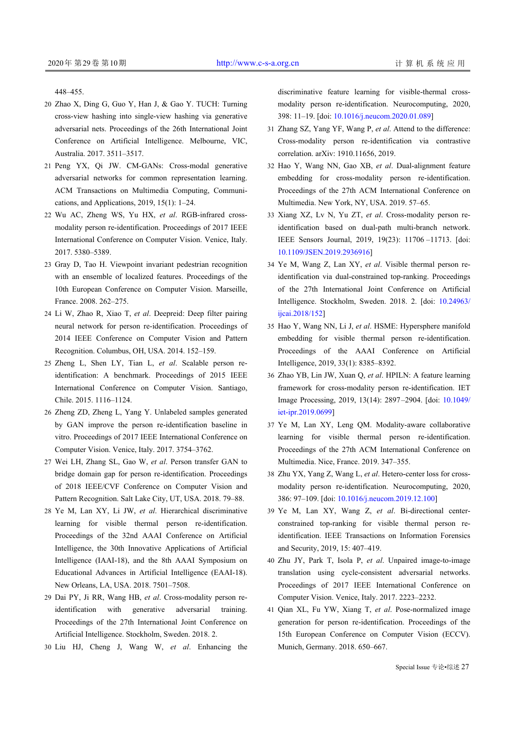448–455.

- 20 Zhao X, Ding G, Guo Y, Han J, & Gao Y. TUCH: Turning cross-view hashing into single-view hashing via generative adversarial nets. Proceedings of the 26th International Joint Conference on Artificial Intelligence. Melbourne, VIC, Australia. 2017. 3511–3517.
- Peng YX, Qi JW. CM-GANs: Cross-modal generative 21 adversarial networks for common representation learning. ACM Transactions on Multimedia Computing, Communications, and Applications, 2019, 15(1): 1–24.
- 22 Wu AC, Zheng WS, Yu HX, et al. RGB-infrared crossmodality person re-identification. Proceedings of 2017 IEEE International Conference on Computer Vision. Venice, Italy. 2017. 5380–5389.
- 23 Gray D, Tao H. Viewpoint invariant pedestrian recognition with an ensemble of localized features. Proceedings of the 10th European Conference on Computer Vision. Marseille, France. 2008. 262–275.
- 24 Li W, Zhao R, Xiao T, et al. Deepreid: Deep filter pairing neural network for person re-identification. Proceedings of 2014 IEEE Conference on Computer Vision and Pattern Recognition. Columbus, OH, USA. 2014. 152–159.
- 25 Zheng L, Shen LY, Tian L, et al. Scalable person reidentification: A benchmark. Proceedings of 2015 IEEE International Conference on Computer Vision. Santiago, Chile. 2015. 1116–1124.
- 26 Zheng ZD, Zheng L, Yang Y. Unlabeled samples generated by GAN improve the person re-identification baseline in vitro. Proceedings of 2017 IEEE International Conference on Computer Vision. Venice, Italy. 2017. 3754–3762.
- 27 Wei LH, Zhang SL, Gao W, et al. Person transfer GAN to bridge domain gap for person re-identification. Proceedings of 2018 IEEE/CVF Conference on Computer Vision and Pattern Recognition. Salt Lake City, UT, USA. 2018. 79–88.
- Ye M, Lan XY, Li JW, *et al*. Hierarchical discriminative 28 learning for visible thermal person re-identification. Proceedings of the 32nd AAAI Conference on Artificial Intelligence, the 30th Innovative Applications of Artificial Intelligence (IAAI-18), and the 8th AAAI Symposium on Educational Advances in Artificial Intelligence (EAAI-18). New Orleans, LA, USA. 2018. 7501–7508.
- 29 Dai PY, Ji RR, Wang HB, et al. Cross-modality person reidentification with generative adversarial training. Proceedings of the 27th International Joint Conference on Artificial Intelligence. Stockholm, Sweden. 2018. 2.
- 30 Liu HJ, Cheng J, Wang W, *et al*. Enhancing the

discriminative feature learning for visible-thermal crossmodality person re-identification. Neurocomputing, 2020, 398: 11–19. [doi: [10.1016/j.neucom.2020.01.089](http://dx.doi.org/10.1016/j.neucom.2020.01.089)]

- 31 Zhang SZ, Yang YF, Wang P, et al. Attend to the difference: Cross-modality person re-identification via contrastive correlation. arXiv: 1910.11656, 2019.
- 32 Hao Y, Wang NN, Gao XB, et al. Dual-alignment feature embedding for cross-modality person re-identification. Proceedings of the 27th ACM International Conference on Multimedia. New York, NY, USA. 2019. 57–65.
- 33 Xiang XZ, Lv N, Yu ZT, et al. Cross-modality person reidentification based on dual-path multi-branch network. IEEE Sensors Journal, 2019, 19(23): 11706 –11713. [doi: [10.1109/JSEN.2019.2936916\]](http://dx.doi.org/10.1109/JSEN.2019.2936916)
- 34 Ye M, Wang Z, Lan XY, et al. Visible thermal person reidentification via dual-constrained top-ranking. Proceedings of the 27th International Joint Conference on Artificial Intelligence. Stockholm, Sweden. 2018. 2. [doi: [10.24963/](http://dx.doi.org/10.24963/ijcai.2018/152) [ijcai.2018/152](http://dx.doi.org/10.24963/ijcai.2018/152)]
- 35 Hao Y, Wang NN, Li J, et al. HSME: Hypersphere manifold embedding for visible thermal person re-identification. Proceedings of the AAAI Conference on Artificial Intelligence, 2019, 33(1): 8385–8392.
- 36 Zhao YB, Lin JW, Xuan Q, et al. HPILN: A feature learning framework for cross-modality person re-identification. IET Image Processing, 2019, 13(14): 2897 –2904. [doi: [10.1049/](http://dx.doi.org/10.1049/iet-ipr.2019.0699) [iet-ipr.2019.0699](http://dx.doi.org/10.1049/iet-ipr.2019.0699)]
- 37 Ye M, Lan XY, Leng QM. Modality-aware collaborative learning for visible thermal person re-identification. Proceedings of the 27th ACM International Conference on Multimedia. Nice, France. 2019. 347–355.
- 38 Zhu YX, Yang Z, Wang L, et al. Hetero-center loss for crossmodality person [re-identification. Neurocomput](http://dx.doi.org/10.1016/j.neucom.2019.12.100)ing, 2020, 386: 97–109. [doi: [10.1016/j.neucom.2019.12.100\]](http://dx.doi.org/10.1016/j.neucom.2019.12.100)
- 39 Ye M, Lan XY, Wang Z, et al. Bi-directional centerconstrained top-ranking for visible thermal person reidentification. IEEE Transactions on Information Forensics and Security, 2019, 15: 407–419.
- 40 Zhu JY, Park T, Isola P, et al. Unpaired image-to-image translation using cycle-consistent adversarial networks. Proceedings of 2017 IEEE International Conference on Computer Vision. Venice, Italy. 2017. 2223–2232.
- 41 Qian XL, Fu YW, Xiang T, et al. Pose-normalized image generation for person re-identification. Proceedings of the 15th European Conference on Computer Vision (ECCV). Munich, Germany. 2018. 650–667.